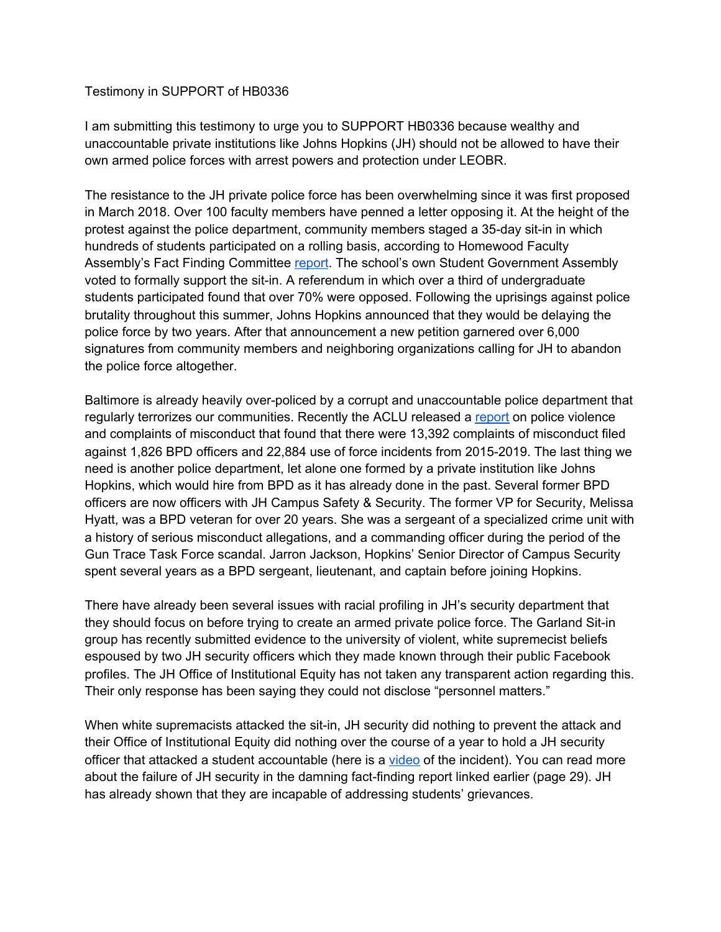## Testimony in SUPPORT of HB0336

I am submitting this testimony to urge you to SUPPORT HB0336 because wealthy and unaccountable private institutions like Johns Hopkins (JH) should not be allowed to have their own armed police forces with arrest powers and protection under LEOBR.

The resistance to the JH private police force has been overwhelming since it was first proposed in March 2018. Over 100 faculty members have penned a letter opposing it. At the height of the protest against the police department, community members staged a 35-day sit-in in which hundreds of students participated on a rolling basis, according to Homewood Faculty Assembly's Fact Finding Committee [report](https://facultyassembly.jhu.edu/files/2019/12/Homewood-Faculty-Assembly-Fact-Finding-Committee-Report.pdf). The school's own Student Government Assembly voted to formally support the sit-in. A referendum in which over a third of undergraduate students participated found that over 70% were opposed. Following the uprisings against police brutality throughout this summer, Johns Hopkins announced that they would be delaying the police force by two years. After that announcement a new petition garnered over 6,000 signatures from community members and neighboring organizations calling for JH to abandon the police force altogether.

Baltimore is already heavily over-policed by a corrupt and unaccountable police department that regularly terrorizes our communities. Recently the ACLU released a [report](https://www.aclu-md.org/en/publications/chasing-justice-addressing-police-violence-and-corruption-maryland) on police violence and complaints of misconduct that found that there were 13,392 complaints of misconduct filed against 1,826 BPD officers and 22,884 use of force incidents from 2015-2019. The last thing we need is another police department, let alone one formed by a private institution like Johns Hopkins, which would hire from BPD as it has already done in the past. Several former BPD officers are now officers with JH Campus Safety & Security. The former VP for Security, Melissa Hyatt, was a BPD veteran for over 20 years. She was a sergeant of a specialized crime unit with a history of serious misconduct allegations, and a commanding officer during the period of the Gun Trace Task Force scandal. Jarron Jackson, Hopkins' Senior Director of Campus Security spent several years as a BPD sergeant, lieutenant, and captain before joining Hopkins.

There have already been several issues with racial profiling in JH's security department that they should focus on before trying to create an armed private police force. The Garland Sit-in group has recently submitted evidence to the university of violent, white supremecist beliefs espoused by two JH security officers which they made known through their public Facebook profiles. The JH Office of Institutional Equity has not taken any transparent action regarding this. Their only response has been saying they could not disclose "personnel matters."

When white supremacists attacked the sit-in, JH security did nothing to prevent the attack and their Office of Institutional Equity did nothing over the course of a year to hold a JH security officer that attacked a student accountable (here is a [video](https://www.facebook.com/TheGarlandSitIn/videos/858719014598974/?v=858719014598974) of the incident). You can read more about the failure of JH security in the damning fact-finding report linked earlier (page 29). JH has already shown that they are incapable of addressing students' grievances.